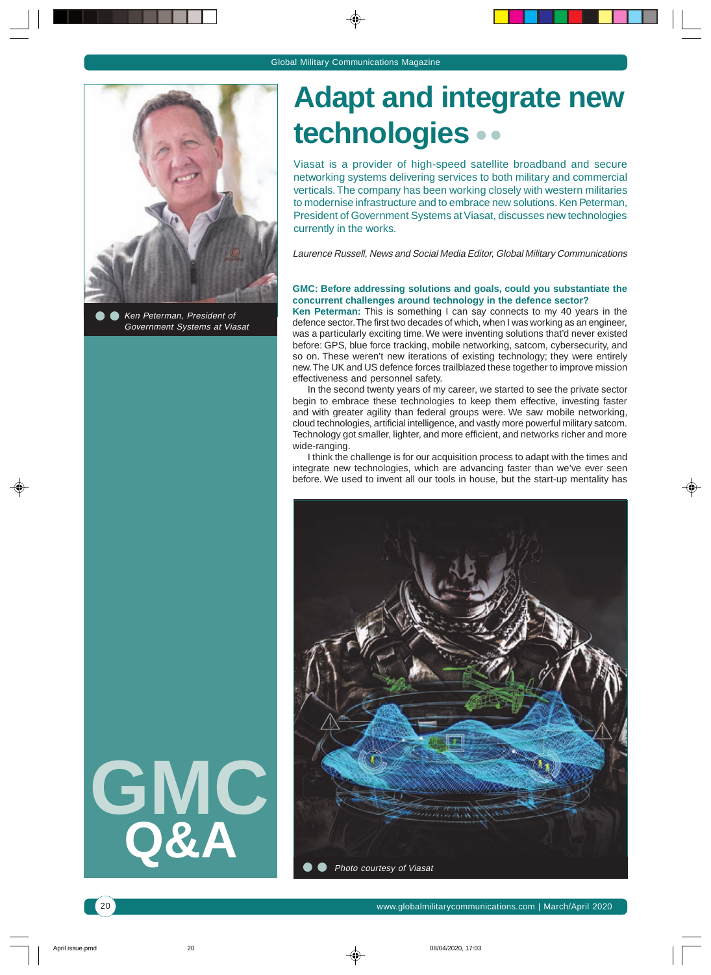

Ken Peterman, President of Government Systems at Viasat

**GMC**

**Q&A**

# **Adapt and integrate new technologies**

Viasat is a provider of high-speed satellite broadband and secure networking systems delivering services to both military and commercial verticals. The company has been working closely with western militaries to modernise infrastructure and to embrace new solutions. Ken Peterman, President of Government Systems at Viasat, discusses new technologies currently in the works.

Laurence Russell, News and Social Media Editor, Global Military Communications

#### **GMC: Before addressing solutions and goals, could you substantiate the concurrent challenges around technology in the defence sector?**

**Ken Peterman:** This is something I can say connects to my 40 years in the defence sector. The first two decades of which, when I was working as an engineer, was a particularly exciting time. We were inventing solutions that'd never existed before: GPS, blue force tracking, mobile networking, satcom, cybersecurity, and so on. These weren't new iterations of existing technology; they were entirely new. The UK and US defence forces trailblazed these together to improve mission effectiveness and personnel safety.

In the second twenty years of my career, we started to see the private sector begin to embrace these technologies to keep them effective, investing faster and with greater agility than federal groups were. We saw mobile networking, cloud technologies, artificial intelligence, and vastly more powerful military satcom. Technology got smaller, lighter, and more efficient, and networks richer and more wide-ranging.

I think the challenge is for our acquisition process to adapt with the times and integrate new technologies, which are advancing faster than we've ever seen before. We used to invent all our tools in house, but the start-up mentality has



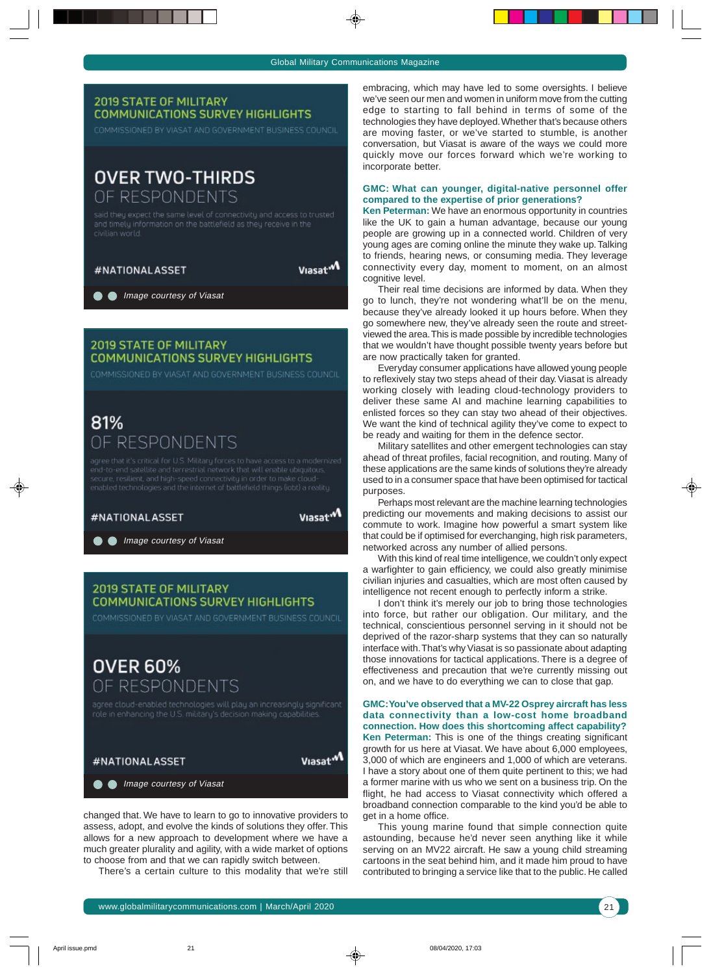#### **2019 STATE OF MILITARY COMMUNICATIONS SURVEY HIGHLIGHTS**

COMMISSIONED BY VIASAT AND GOVERNMENT BUSINESS COUNCIL

## **OVER TWO-THIRDS** OF RESPONDENTS

said they expect the same level of connectivity and access to trusted and timely information on the battlefield as they receive in the

Viasat<sup>.M</sup>

**Image courtesy of Viasat** 

#NATIONALASSET

## **2019 STATE OF MILITARY COMMUNICATIONS SURVEY HIGHLIGHTS**

COMMISSIONED BY VIASAT AND GOVERNMENT BUSINESS COUNCIL

## 81% OF RESPONDENTS

secure, resilient, and high-speed connectivity in order to make cloud-

#### #NATIONAL ASSET

Viasat<sup>.M</sup>

**Image courtesy of Viasat** 

### **2019 STATE OF MILITARY COMMUNICATIONS SURVEY HIGHLIGHTS**

COMMISSIONED BY VIASAT AND GOVERNMENT BUSINESS COUNCIL

# **OVER 60%** OF RESPONDENTS



changed that. We have to learn to go to innovative providers to assess, adopt, and evolve the kinds of solutions they offer. This allows for a new approach to development where we have a much greater plurality and agility, with a wide market of options to choose from and that we can rapidly switch between.

There's a certain culture to this modality that we're still

embracing, which may have led to some oversights. I believe we've seen our men and women in uniform move from the cutting edge to starting to fall behind in terms of some of the technologies they have deployed. Whether that's because others are moving faster, or we've started to stumble, is another conversation, but Viasat is aware of the ways we could more quickly move our forces forward which we're working to incorporate better.

#### **GMC: What can younger, digital-native personnel offer compared to the expertise of prior generations?**

**Ken Peterman:** We have an enormous opportunity in countries like the UK to gain a human advantage, because our young people are growing up in a connected world. Children of very young ages are coming online the minute they wake up. Talking to friends, hearing news, or consuming media. They leverage connectivity every day, moment to moment, on an almost cognitive level.

Their real time decisions are informed by data. When they go to lunch, they're not wondering what'll be on the menu, because they've already looked it up hours before. When they go somewhere new, they've already seen the route and streetviewed the area. This is made possible by incredible technologies that we wouldn't have thought possible twenty years before but are now practically taken for granted.

Everyday consumer applications have allowed young people to reflexively stay two steps ahead of their day. Viasat is already working closely with leading cloud-technology providers to deliver these same AI and machine learning capabilities to enlisted forces so they can stay two ahead of their objectives. We want the kind of technical agility they've come to expect to be ready and waiting for them in the defence sector.

Military satellites and other emergent technologies can stay ahead of threat profiles, facial recognition, and routing. Many of these applications are the same kinds of solutions they're already used to in a consumer space that have been optimised for tactical purposes.

Perhaps most relevant are the machine learning technologies predicting our movements and making decisions to assist our commute to work. Imagine how powerful a smart system like that could be if optimised for everchanging, high risk parameters, networked across any number of allied persons.

With this kind of real time intelligence, we couldn't only expect a warfighter to gain efficiency, we could also greatly minimise civilian injuries and casualties, which are most often caused by intelligence not recent enough to perfectly inform a strike.

I don't think it's merely our job to bring those technologies into force, but rather our obligation. Our military, and the technical, conscientious personnel serving in it should not be deprived of the razor-sharp systems that they can so naturally interface with. That's why Viasat is so passionate about adapting those innovations for tactical applications. There is a degree of effectiveness and precaution that we're currently missing out on, and we have to do everything we can to close that gap.

**GMC: You've observed that a MV-22 Osprey aircraft has less data connectivity than a low-cost home broadband connection. How does this shortcoming affect capability? Ken Peterman:** This is one of the things creating significant growth for us here at Viasat. We have about 6,000 employees, 3,000 of which are engineers and 1,000 of which are veterans. I have a story about one of them quite pertinent to this; we had a former marine with us who we sent on a business trip. On the flight, he had access to Viasat connectivity which offered a broadband connection comparable to the kind you'd be able to get in a home office.

This young marine found that simple connection quite astounding, because he'd never seen anything like it while serving on an MV22 aircraft. He saw a young child streaming cartoons in the seat behind him, and it made him proud to have contributed to bringing a service like that to the public. He called